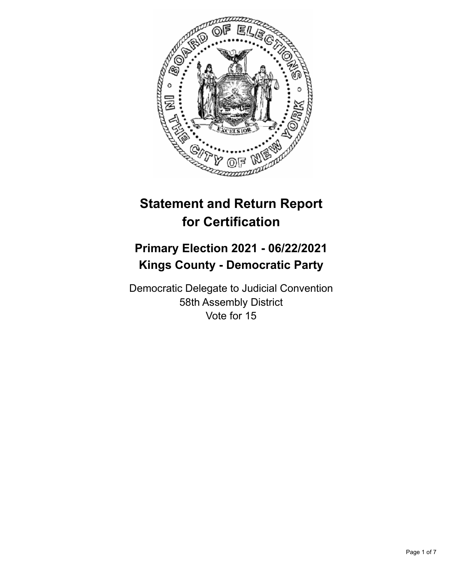

# **Statement and Return Report for Certification**

## **Primary Election 2021 - 06/22/2021 Kings County - Democratic Party**

Democratic Delegate to Judicial Convention 58th Assembly District Vote for 15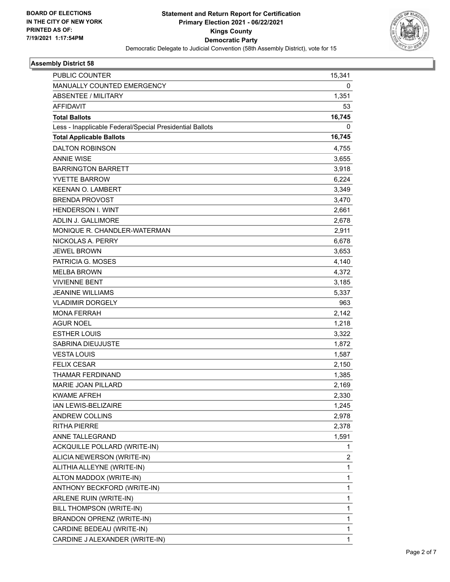

## **Assembly District 58**

| <b>PUBLIC COUNTER</b>                                    | 15,341       |
|----------------------------------------------------------|--------------|
| MANUALLY COUNTED EMERGENCY                               | 0            |
| <b>ABSENTEE / MILITARY</b>                               | 1,351        |
| <b>AFFIDAVIT</b>                                         | 53           |
| <b>Total Ballots</b>                                     | 16,745       |
| Less - Inapplicable Federal/Special Presidential Ballots | 0            |
| <b>Total Applicable Ballots</b>                          | 16,745       |
| <b>DALTON ROBINSON</b>                                   | 4,755        |
| <b>ANNIE WISE</b>                                        | 3,655        |
| <b>BARRINGTON BARRETT</b>                                | 3,918        |
| <b>YVETTE BARROW</b>                                     | 6,224        |
| <b>KEENAN O. LAMBERT</b>                                 | 3,349        |
| <b>BRENDA PROVOST</b>                                    | 3,470        |
| <b>HENDERSON I. WINT</b>                                 | 2,661        |
| <b>ADLIN J. GALLIMORE</b>                                | 2,678        |
| MONIQUE R. CHANDLER-WATERMAN                             | 2,911        |
| NICKOLAS A. PERRY                                        | 6,678        |
| <b>JEWEL BROWN</b>                                       | 3,653        |
| PATRICIA G. MOSES                                        | 4,140        |
| <b>MELBA BROWN</b>                                       | 4,372        |
| <b>VIVIENNE BENT</b>                                     | 3,185        |
| <b>JEANINE WILLIAMS</b>                                  | 5,337        |
| <b>VLADIMIR DORGELY</b>                                  | 963          |
| <b>MONA FERRAH</b>                                       | 2,142        |
| <b>AGUR NOEL</b>                                         | 1,218        |
| <b>ESTHER LOUIS</b>                                      | 3,322        |
| SABRINA DIEUJUSTE                                        | 1,872        |
| <b>VESTA LOUIS</b>                                       | 1,587        |
| <b>FELIX CESAR</b>                                       | 2,150        |
| THAMAR FERDINAND                                         | 1,385        |
| MARIE JOAN PILLARD                                       | 2,169        |
| <b>KWAME AFREH</b>                                       | 2,330        |
| <b>IAN LEWIS-BELIZAIRE</b>                               | 1,245        |
| ANDREW COLLINS                                           | 2,978        |
| <b>RITHA PIERRE</b>                                      | 2,378        |
| ANNE TALLEGRAND                                          | 1,591        |
| ACKQUILLE POLLARD (WRITE-IN)                             | 1            |
| ALICIA NEWERSON (WRITE-IN)                               | 2            |
| ALITHIA ALLEYNE (WRITE-IN)                               | 1            |
| ALTON MADDOX (WRITE-IN)                                  | 1            |
| ANTHONY BECKFORD (WRITE-IN)                              | $\mathbf{1}$ |
| ARLENE RUIN (WRITE-IN)                                   | 1            |
| BILL THOMPSON (WRITE-IN)                                 | 1            |
| BRANDON OPRENZ (WRITE-IN)                                | 1            |
| CARDINE BEDEAU (WRITE-IN)                                | 1            |
| CARDINE J ALEXANDER (WRITE-IN)                           | $\mathbf{1}$ |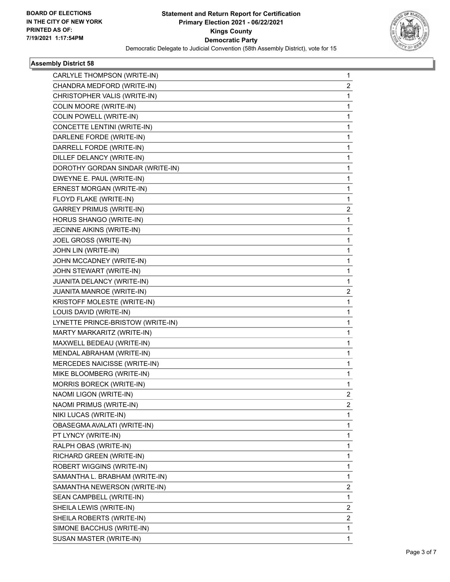

## **Assembly District 58**

| CARLYLE THOMPSON (WRITE-IN)       | 1              |
|-----------------------------------|----------------|
| CHANDRA MEDFORD (WRITE-IN)        | 2              |
| CHRISTOPHER VALIS (WRITE-IN)      | 1              |
| COLIN MOORE (WRITE-IN)            | 1              |
| <b>COLIN POWELL (WRITE-IN)</b>    | 1              |
| CONCETTE LENTINI (WRITE-IN)       | 1              |
| DARLENE FORDE (WRITE-IN)          | 1              |
| DARRELL FORDE (WRITE-IN)          | 1              |
| DILLEF DELANCY (WRITE-IN)         | 1              |
| DOROTHY GORDAN SINDAR (WRITE-IN)  | 1              |
| DWEYNE E. PAUL (WRITE-IN)         | 1              |
| ERNEST MORGAN (WRITE-IN)          | 1              |
| FLOYD FLAKE (WRITE-IN)            | 1              |
| <b>GARREY PRIMUS (WRITE-IN)</b>   | 2              |
| HORUS SHANGO (WRITE-IN)           | 1              |
| JECINNE AIKINS (WRITE-IN)         | 1              |
| JOEL GROSS (WRITE-IN)             | 1              |
| JOHN LIN (WRITE-IN)               | 1              |
| JOHN MCCADNEY (WRITE-IN)          | 1              |
| JOHN STEWART (WRITE-IN)           | 1              |
| JUANITA DELANCY (WRITE-IN)        | 1              |
| JUANITA MANROE (WRITE-IN)         | 2              |
| KRISTOFF MOLESTE (WRITE-IN)       | 1              |
| LOUIS DAVID (WRITE-IN)            | 1              |
| LYNETTE PRINCE-BRISTOW (WRITE-IN) | 1              |
| MARTY MARKARITZ (WRITE-IN)        | 1              |
| MAXWELL BEDEAU (WRITE-IN)         | 1              |
| MENDAL ABRAHAM (WRITE-IN)         | 1              |
| MERCEDES NAICISSE (WRITE-IN)      | 1              |
| MIKE BLOOMBERG (WRITE-IN)         | 1              |
| MORRIS BORECK (WRITE-IN)          | 1              |
| NAOMI LIGON (WRITE-IN)            | 2              |
| NAOMI PRIMUS (WRITE-IN)           | $\overline{2}$ |
| NIKI LUCAS (WRITE-IN)             | 1              |
| OBASEGMA AVALATI (WRITE-IN)       | 1              |
| PT LYNCY (WRITE-IN)               | 1              |
| RALPH OBAS (WRITE-IN)             | 1              |
| RICHARD GREEN (WRITE-IN)          | 1              |
| ROBERT WIGGINS (WRITE-IN)         | 1              |
| SAMANTHA L. BRABHAM (WRITE-IN)    | 1              |
| SAMANTHA NEWERSON (WRITE-IN)      | 2              |
| SEAN CAMPBELL (WRITE-IN)          | 1              |
| SHEILA LEWIS (WRITE-IN)           | 2              |
| SHEILA ROBERTS (WRITE-IN)         | 2              |
| SIMONE BACCHUS (WRITE-IN)         | 1              |
| SUSAN MASTER (WRITE-IN)           | 1              |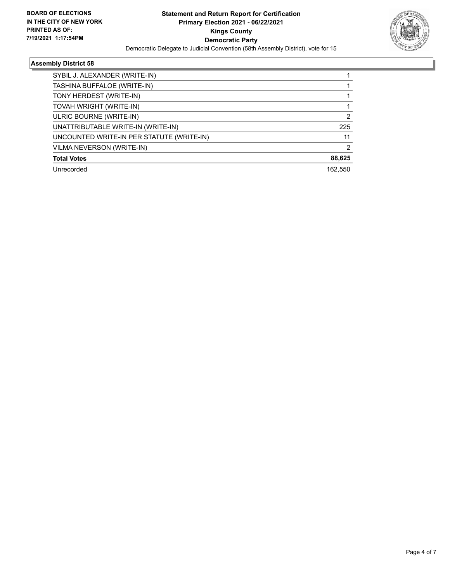

## **Assembly District 58**

| SYBIL J. ALEXANDER (WRITE-IN)             |                |
|-------------------------------------------|----------------|
| TASHINA BUFFALOE (WRITE-IN)               |                |
| TONY HERDEST (WRITE-IN)                   |                |
| TOVAH WRIGHT (WRITE-IN)                   |                |
| ULRIC BOURNE (WRITE-IN)                   | 2              |
| UNATTRIBUTABLE WRITE-IN (WRITE-IN)        | 225            |
| UNCOUNTED WRITE-IN PER STATUTE (WRITE-IN) | 11             |
| VILMA NEVERSON (WRITE-IN)                 | $\mathfrak{p}$ |
| <b>Total Votes</b>                        | 88,625         |
| Unrecorded                                | 162.550        |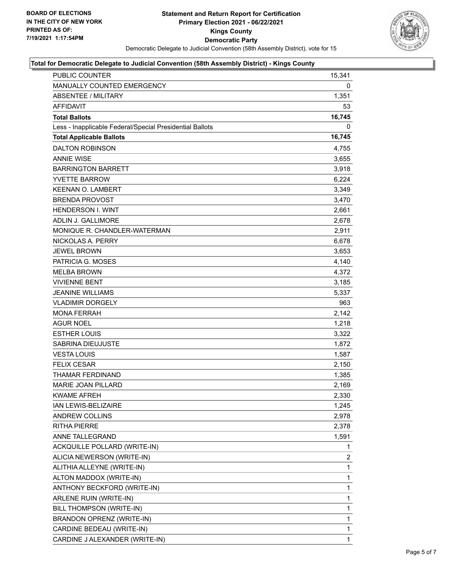

#### **Total for Democratic Delegate to Judicial Convention (58th Assembly District) - Kings County**

| PUBLIC COUNTER                                           | 15,341         |
|----------------------------------------------------------|----------------|
| <b>MANUALLY COUNTED EMERGENCY</b>                        | 0              |
| <b>ABSENTEE / MILITARY</b>                               | 1,351          |
| <b>AFFIDAVIT</b>                                         | 53             |
| <b>Total Ballots</b>                                     | 16,745         |
| Less - Inapplicable Federal/Special Presidential Ballots | 0              |
| <b>Total Applicable Ballots</b>                          | 16,745         |
| <b>DALTON ROBINSON</b>                                   | 4,755          |
| <b>ANNIE WISE</b>                                        | 3,655          |
| <b>BARRINGTON BARRETT</b>                                | 3,918          |
| <b>YVETTE BARROW</b>                                     | 6,224          |
| <b>KEENAN O. LAMBERT</b>                                 | 3,349          |
| <b>BRENDA PROVOST</b>                                    | 3,470          |
| <b>HENDERSON I. WINT</b>                                 | 2,661          |
| ADLIN J. GALLIMORE                                       | 2,678          |
| MONIQUE R. CHANDLER-WATERMAN                             | 2,911          |
| NICKOLAS A. PERRY                                        | 6,678          |
| <b>JEWEL BROWN</b>                                       | 3,653          |
| PATRICIA G. MOSES                                        | 4,140          |
| <b>MELBA BROWN</b>                                       | 4,372          |
| <b>VIVIENNE BENT</b>                                     | 3,185          |
| <b>JEANINE WILLIAMS</b>                                  | 5,337          |
| <b>VLADIMIR DORGELY</b>                                  | 963            |
| <b>MONA FERRAH</b>                                       | 2,142          |
| <b>AGUR NOEL</b>                                         | 1,218          |
| <b>ESTHER LOUIS</b>                                      | 3,322          |
| SABRINA DIEUJUSTE                                        | 1,872          |
| <b>VESTA LOUIS</b>                                       | 1,587          |
| <b>FELIX CESAR</b>                                       | 2,150          |
| <b>THAMAR FERDINAND</b>                                  | 1,385          |
| MARIE JOAN PILLARD                                       | 2,169          |
| <b>KWAME AFREH</b>                                       | 2,330          |
| IAN LEWIS-BELIZAIRE                                      | 1,245          |
| ANDREW COLLINS                                           | 2,978          |
| <b>RITHA PIERRE</b>                                      | 2,378          |
| ANNE TALLEGRAND                                          | 1,591          |
| ACKQUILLE POLLARD (WRITE-IN)                             | 1              |
| ALICIA NEWERSON (WRITE-IN)                               | $\overline{c}$ |
| ALITHIA ALLEYNE (WRITE-IN)                               | 1              |
| ALTON MADDOX (WRITE-IN)                                  | 1              |
| ANTHONY BECKFORD (WRITE-IN)                              | 1              |
| ARLENE RUIN (WRITE-IN)                                   | 1              |
| BILL THOMPSON (WRITE-IN)                                 | 1              |
| BRANDON OPRENZ (WRITE-IN)                                | 1              |
| CARDINE BEDEAU (WRITE-IN)                                | 1              |
| CARDINE J ALEXANDER (WRITE-IN)                           | 1              |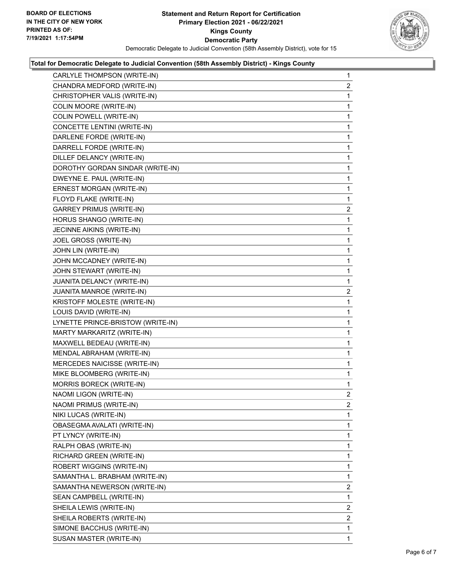

#### **Total for Democratic Delegate to Judicial Convention (58th Assembly District) - Kings County**

| CARLYLE THOMPSON (WRITE-IN)       | $\mathbf{1}$   |
|-----------------------------------|----------------|
| CHANDRA MEDFORD (WRITE-IN)        | $\overline{2}$ |
| CHRISTOPHER VALIS (WRITE-IN)      | 1              |
| COLIN MOORE (WRITE-IN)            | 1              |
| COLIN POWELL (WRITE-IN)           | 1              |
| CONCETTE LENTINI (WRITE-IN)       | 1              |
| DARLENE FORDE (WRITE-IN)          | 1              |
| DARRELL FORDE (WRITE-IN)          | 1              |
| DILLEF DELANCY (WRITE-IN)         | 1              |
| DOROTHY GORDAN SINDAR (WRITE-IN)  | 1              |
| DWEYNE E. PAUL (WRITE-IN)         | 1              |
| ERNEST MORGAN (WRITE-IN)          | 1              |
| FLOYD FLAKE (WRITE-IN)            | 1              |
| <b>GARREY PRIMUS (WRITE-IN)</b>   | $\overline{2}$ |
| HORUS SHANGO (WRITE-IN)           | 1              |
| JECINNE AIKINS (WRITE-IN)         | 1              |
| JOEL GROSS (WRITE-IN)             | 1              |
| JOHN LIN (WRITE-IN)               | 1              |
| JOHN MCCADNEY (WRITE-IN)          | 1              |
| JOHN STEWART (WRITE-IN)           | 1              |
| JUANITA DELANCY (WRITE-IN)        | 1              |
| JUANITA MANROE (WRITE-IN)         | $\overline{a}$ |
| KRISTOFF MOLESTE (WRITE-IN)       | 1              |
| LOUIS DAVID (WRITE-IN)            | 1              |
| LYNETTE PRINCE-BRISTOW (WRITE-IN) | 1              |
| MARTY MARKARITZ (WRITE-IN)        | 1              |
| MAXWELL BEDEAU (WRITE-IN)         | 1              |
| MENDAL ABRAHAM (WRITE-IN)         | 1              |
| MERCEDES NAICISSE (WRITE-IN)      | 1              |
| MIKE BLOOMBERG (WRITE-IN)         | 1              |
| MORRIS BORECK (WRITE-IN)          | 1              |
| NAOMI LIGON (WRITE-IN)            | $\overline{2}$ |
| NAOMI PRIMUS (WRITE-IN)           | 2              |
| NIKI LUCAS (WRITE-IN)             | 1              |
| OBASEGMA AVALATI (WRITE-IN)       | 1              |
| PT LYNCY (WRITE-IN)               | 1              |
| RALPH OBAS (WRITE-IN)             | 1              |
| RICHARD GREEN (WRITE-IN)          | 1              |
| ROBERT WIGGINS (WRITE-IN)         | 1              |
| SAMANTHA L. BRABHAM (WRITE-IN)    | 1              |
| SAMANTHA NEWERSON (WRITE-IN)      | 2              |
| SEAN CAMPBELL (WRITE-IN)          | 1              |
| SHEILA LEWIS (WRITE-IN)           | 2              |
| SHEILA ROBERTS (WRITE-IN)         | 2              |
| SIMONE BACCHUS (WRITE-IN)         | 1              |
| SUSAN MASTER (WRITE-IN)           | 1              |